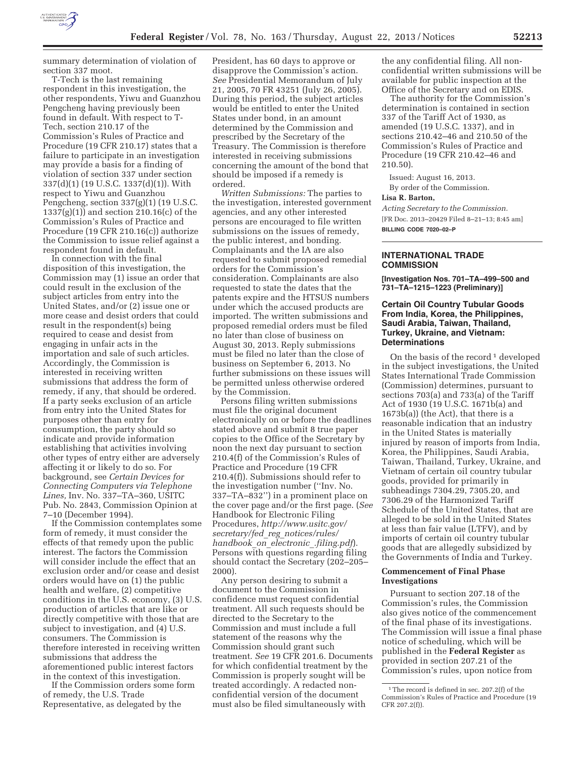

summary determination of violation of section 337 moot.

T-Tech is the last remaining respondent in this investigation, the other respondents, Yiwu and Guanzhou Pengcheng having previously been found in default. With respect to T-Tech, section 210.17 of the Commission's Rules of Practice and Procedure (19 CFR 210.17) states that a failure to participate in an investigation may provide a basis for a finding of violation of section 337 under section 337(d)(1) (19 U.S.C. 1337(d)(1)). With respect to Yiwu and Guanzhou Pengcheng, section 337(g)(1) (19 U.S.C. 1337(g)(1)) and section 210.16(c) of the Commission's Rules of Practice and Procedure (19 CFR 210.16(c)) authorize the Commission to issue relief against a respondent found in default.

In connection with the final disposition of this investigation, the Commission may (1) issue an order that could result in the exclusion of the subject articles from entry into the United States, and/or (2) issue one or more cease and desist orders that could result in the respondent(s) being required to cease and desist from engaging in unfair acts in the importation and sale of such articles. Accordingly, the Commission is interested in receiving written submissions that address the form of remedy, if any, that should be ordered. If a party seeks exclusion of an article from entry into the United States for purposes other than entry for consumption, the party should so indicate and provide information establishing that activities involving other types of entry either are adversely affecting it or likely to do so. For background, see *Certain Devices for Connecting Computers via Telephone Lines,* Inv. No. 337–TA–360, USITC Pub. No. 2843, Commission Opinion at 7–10 (December 1994).

If the Commission contemplates some form of remedy, it must consider the effects of that remedy upon the public interest. The factors the Commission will consider include the effect that an exclusion order and/or cease and desist orders would have on (1) the public health and welfare, (2) competitive conditions in the U.S. economy, (3) U.S. production of articles that are like or directly competitive with those that are subject to investigation, and (4) U.S. consumers. The Commission is therefore interested in receiving written submissions that address the aforementioned public interest factors in the context of this investigation.

If the Commission orders some form of remedy, the U.S. Trade Representative, as delegated by the

President, has 60 days to approve or disapprove the Commission's action. *See* Presidential Memorandum of July 21, 2005, 70 FR 43251 (July 26, 2005). During this period, the subject articles would be entitled to enter the United States under bond, in an amount determined by the Commission and prescribed by the Secretary of the Treasury. The Commission is therefore interested in receiving submissions concerning the amount of the bond that should be imposed if a remedy is ordered.

*Written Submissions:* The parties to the investigation, interested government agencies, and any other interested persons are encouraged to file written submissions on the issues of remedy, the public interest, and bonding. Complainants and the IA are also requested to submit proposed remedial orders for the Commission's consideration. Complainants are also requested to state the dates that the patents expire and the HTSUS numbers under which the accused products are imported. The written submissions and proposed remedial orders must be filed no later than close of business on August 30, 2013. Reply submissions must be filed no later than the close of business on September 6, 2013. No further submissions on these issues will be permitted unless otherwise ordered by the Commission.

Persons filing written submissions must file the original document electronically on or before the deadlines stated above and submit 8 true paper copies to the Office of the Secretary by noon the next day pursuant to section 210.4(f) of the Commission's Rules of Practice and Procedure (19 CFR 210.4(f)). Submissions should refer to the investigation number (''Inv. No. 337–TA–832'') in a prominent place on the cover page and/or the first page. (*See*  Handbook for Electronic Filing Procedures, *http://www.usitc.gov/ secretary/fed*\_*reg*\_*notices/rules/ handbook*\_*on*\_*electronic*\_*.filing.pdf*). Persons with questions regarding filing should contact the Secretary (202–205– 2000).

Any person desiring to submit a document to the Commission in confidence must request confidential treatment. All such requests should be directed to the Secretary to the Commission and must include a full statement of the reasons why the Commission should grant such treatment. *See* 19 CFR 201.6. Documents for which confidential treatment by the Commission is properly sought will be treated accordingly. A redacted nonconfidential version of the document must also be filed simultaneously with

the any confidential filing. All nonconfidential written submissions will be available for public inspection at the Office of the Secretary and on EDIS.

The authority for the Commission's determination is contained in section 337 of the Tariff Act of 1930, as amended (19 U.S.C. 1337), and in sections 210.42–46 and 210.50 of the Commission's Rules of Practice and Procedure (19 CFR 210.42–46 and 210.50).

Issued: August 16, 2013. By order of the Commission.

#### **Lisa R. Barton,**

*Acting Secretary to the Commission.*  [FR Doc. 2013–20429 Filed 8–21–13; 8:45 am] **BILLING CODE 7020–02–P** 

## **INTERNATIONAL TRADE COMMISSION**

**[Investigation Nos. 701–TA–499–500 and 731–TA–1215–1223 (Preliminary)]** 

## **Certain Oil Country Tubular Goods From India, Korea, the Philippines, Saudi Arabia, Taiwan, Thailand, Turkey, Ukraine, and Vietnam: Determinations**

On the basis of the record<sup>1</sup> developed in the subject investigations, the United States International Trade Commission (Commission) determines, pursuant to sections 703(a) and 733(a) of the Tariff Act of 1930 (19 U.S.C. 1671b(a) and 1673b(a)) (the Act), that there is a reasonable indication that an industry in the United States is materially injured by reason of imports from India, Korea, the Philippines, Saudi Arabia, Taiwan, Thailand, Turkey, Ukraine, and Vietnam of certain oil country tubular goods, provided for primarily in subheadings 7304.29, 7305.20, and 7306.29 of the Harmonized Tariff Schedule of the United States, that are alleged to be sold in the United States at less than fair value (LTFV), and by imports of certain oil country tubular goods that are allegedly subsidized by the Governments of India and Turkey.

## **Commencement of Final Phase Investigations**

Pursuant to section 207.18 of the Commission's rules, the Commission also gives notice of the commencement of the final phase of its investigations. The Commission will issue a final phase notice of scheduling, which will be published in the **Federal Register** as provided in section 207.21 of the Commission's rules, upon notice from

<sup>&</sup>lt;sup>1</sup>The record is defined in sec. 207.2(f) of the Commission's Rules of Practice and Procedure (19 CFR 207.2(f)).